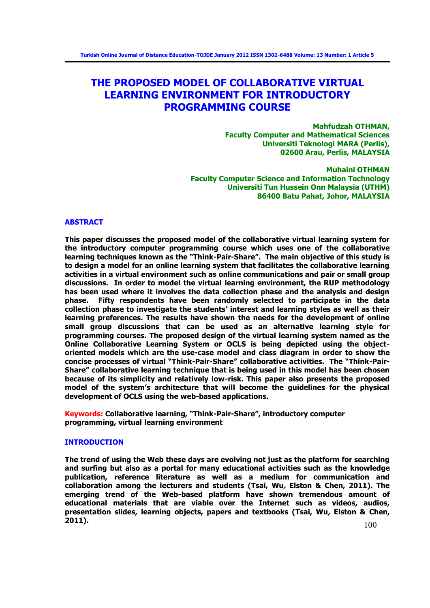# **THE PROPOSED MODEL OF COLLABORATIVE VIRTUAL LEARNING ENVIRONMENT FOR INTRODUCTORY PROGRAMMING COURSE**

**Mahfudzah OTHMAN, Faculty Computer and Mathematical Sciences Universiti Teknologi MARA (Perlis), 02600 Arau, Perlis, MALAYSIA** 

**Muhaini OTHMAN Faculty Computer Science and Information Technology Universiti Tun Hussein Onn Malaysia (UTHM) 86400 Batu Pahat, Johor, MALAYSIA** 

### **ABSTRACT**

**This paper discusses the proposed model of the collaborative virtual learning system for the introductory computer programming course which uses one of the collaborative learning techniques known as the "Think-Pair-Share". The main objective of this study is to design a model for an online learning system that facilitates the collaborative learning activities in a virtual environment such as online communications and pair or small group discussions. In order to model the virtual learning environment, the RUP methodology has been used where it involves the data collection phase and the analysis and design phase. Fifty respondents have been randomly selected to participate in the data collection phase to investigate the students' interest and learning styles as well as their learning preferences. The results have shown the needs for the development of online small group discussions that can be used as an alternative learning style for programming courses. The proposed design of the virtual learning system named as the Online Collaborative Learning System or OCLS is being depicted using the objectoriented models which are the use-case model and class diagram in order to show the concise processes of virtual "Think-Pair-Share" collaborative activities. The "Think-Pair-Share" collaborative learning technique that is being used in this model has been chosen because of its simplicity and relatively low-risk. This paper also presents the proposed model of the system's architecture that will become the guidelines for the physical development of OCLS using the web-based applications.** 

**Keywords: Collaborative learning, "Think-Pair-Share", introductory computer programming, virtual learning environment**

### **INTRODUCTION**

**The trend of using the Web these days are evolving not just as the platform for searching and surfing but also as a portal for many educational activities such as the knowledge publication, reference literature as well as a medium for communication and collaboration among the lecturers and students (Tsai, Wu, Elston & Chen, 2011). The emerging trend of the Web-based platform have shown tremendous amount of educational materials that are viable over the Internet such as videos, audios, presentation slides, learning objects, papers and textbooks (Tsai, Wu, Elston & Chen, 2011).**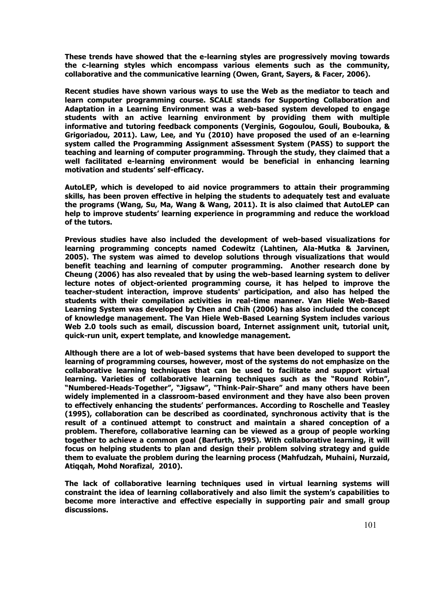**These trends have showed that the e-learning styles are progressively moving towards the c-learning styles which encompass various elements such as the community, collaborative and the communicative learning (Owen, Grant, Sayers, & Facer, 2006).**

**Recent studies have shown various ways to use the Web as the mediator to teach and learn computer programming course. SCALE stands for Supporting Collaboration and Adaptation in a Learning Environment was a web-based system developed to engage students with an active learning environment by providing them with multiple informative and tutoring feedback components (Verginis, Gogoulou, Gouli, Boubouka, & Grigoriadou, 2011). Law, Lee, and Yu (2010) have proposed the used of an e-learning system called the Programming Assignment aSsessment System (PASS) to support the teaching and learning of computer programming. Through the study, they claimed that a well facilitated e-learning environment would be beneficial in enhancing learning motivation and students' self-efficacy.** 

**AutoLEP, which is developed to aid novice programmers to attain their programming skills, has been proven effective in helping the students to adequately test and evaluate the programs (Wang, Su, Ma, Wang & Wang, 2011). It is also claimed that AutoLEP can help to improve students' learning experience in programming and reduce the workload of the tutors.** 

**Previous studies have also included the development of web-based visualizations for learning programming concepts named Codewitz (Lahtinen, Ala-Mutka & Jarvinen, 2005). The system was aimed to develop solutions through visualizations that would benefit teaching and learning of computer programming. Another research done by Cheung (2006) has also revealed that by using the web-based learning system to deliver lecture notes of object-oriented programming course, it has helped to improve the teacher-student interaction, improve students' participation, and also has helped the students with their compilation activities in real-time manner. Van Hiele Web-Based Learning System was developed by Chen and Chih (2006) has also included the concept of knowledge management. The Van Hiele Web-Based Learning System includes various Web 2.0 tools such as email, discussion board, Internet assignment unit, tutorial unit, quick-run unit, expert template, and knowledge management.**

**Although there are a lot of web-based systems that have been developed to support the learning of programming courses, however, most of the systems do not emphasize on the collaborative learning techniques that can be used to facilitate and support virtual learning. Varieties of collaborative learning techniques such as the "Round Robin", "Numbered-Heads-Together", "Jigsaw", "Think-Pair-Share" and many others have been widely implemented in a classroom-based environment and they have also been proven to effectively enhancing the students' performances. According to Roschelle and Teasley (1995), collaboration can be described as coordinated, synchronous activity that is the result of a continued attempt to construct and maintain a shared conception of a problem. Therefore, collaborative learning can be viewed as a group of people working together to achieve a common goal (Barfurth, 1995). With collaborative learning, it will focus on helping students to plan and design their problem solving strategy and guide them to evaluate the problem during the learning process (Mahfudzah, Muhaini, Nurzaid, Atiqqah, Mohd Norafizal, 2010).** 

**The lack of collaborative learning techniques used in virtual learning systems will constraint the idea of learning collaboratively and also limit the system's capabilities to become more interactive and effective especially in supporting pair and small group discussions.**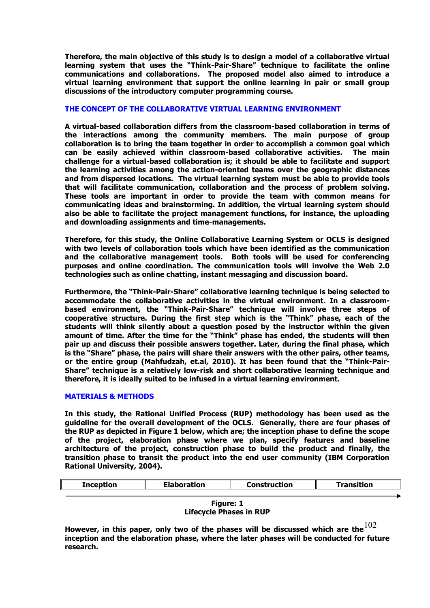**Therefore, the main objective of this study is to design a model of a collaborative virtual learning system that uses the "Think-Pair-Share" technique to facilitate the online communications and collaborations. The proposed model also aimed to introduce a virtual learning environment that support the online learning in pair or small group discussions of the introductory computer programming course.** 

## **THE CONCEPT OF THE COLLABORATIVE VIRTUAL LEARNING ENVIRONMENT**

**A virtual-based collaboration differs from the classroom-based collaboration in terms of the interactions among the community members. The main purpose of group collaboration is to bring the team together in order to accomplish a common goal which can be easily achieved within classroom-based collaborative activities. The main challenge for a virtual-based collaboration is; it should be able to facilitate and support the learning activities among the action-oriented teams over the geographic distances and from dispersed locations. The virtual learning system must be able to provide tools that will facilitate communication, collaboration and the process of problem solving. These tools are important in order to provide the team with common means for communicating ideas and brainstorming. In addition, the virtual learning system should also be able to facilitate the project management functions, for instance, the uploading and downloading assignments and time-managements.** 

**Therefore, for this study, the Online Collaborative Learning System or OCLS is designed with two levels of collaboration tools which have been identified as the communication and the collaborative management tools. Both tools will be used for conferencing purposes and online coordination. The communication tools will involve the Web 2.0 technologies such as online chatting, instant messaging and discussion board.** 

**Furthermore, the "Think-Pair-Share" collaborative learning technique is being selected to accommodate the collaborative activities in the virtual environment. In a classroombased environment, the "Think-Pair-Share" technique will involve three steps of cooperative structure. During the first step which is the "Think" phase, each of the students will think silently about a question posed by the instructor within the given amount of time. After the time for the "Think" phase has ended, the students will then pair up and discuss their possible answers together. Later, during the final phase, which is the "Share" phase, the pairs will share their answers with the other pairs, other teams, or the entire group (Mahfudzah, et.al, 2010). It has been found that the "Think-Pair-Share" technique is a relatively low-risk and short collaborative learning technique and therefore, it is ideally suited to be infused in a virtual learning environment.** 

### **MATERIALS & METHODS**

**In this study, the Rational Unified Process (RUP) methodology has been used as the guideline for the overall development of the OCLS. Generally, there are four phases of the RUP as depicted in Figure 1 below, which are; the inception phase to define the scope of the project, elaboration phase where we plan, specify features and baseline architecture of the project, construction phase to build the product and finally, the transition phase to transit the product into the end user community (IBM Corporation Rational University, 2004).** 

| Inception | <b>Elaboration</b> | Construction | Transition |
|-----------|--------------------|--------------|------------|
|           |                    |              |            |



However, in this paper, only two of the phases will be discussed which are the  $\rm ^{102}$ **inception and the elaboration phase, where the later phases will be conducted for future research.**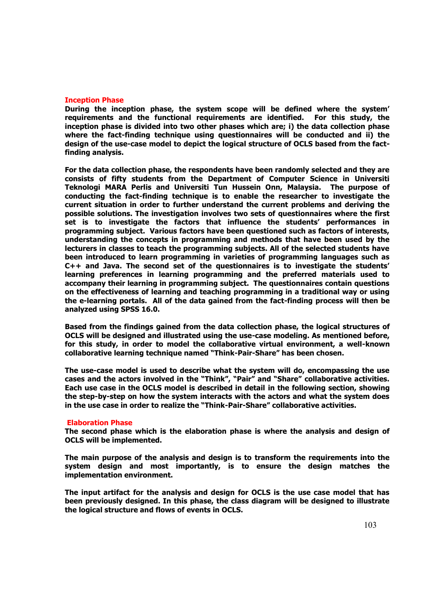### **Inception Phase**

**During the inception phase, the system scope will be defined where the system' requirements and the functional requirements are identified. For this study, the inception phase is divided into two other phases which are; i) the data collection phase where the fact-finding technique using questionnaires will be conducted and ii) the design of the use-case model to depict the logical structure of OCLS based from the factfinding analysis.** 

**For the data collection phase, the respondents have been randomly selected and they are consists of fifty students from the Department of Computer Science in Universiti Teknologi MARA Perlis and Universiti Tun Hussein Onn, Malaysia. The purpose of conducting the fact-finding technique is to enable the researcher to investigate the current situation in order to further understand the current problems and deriving the possible solutions. The investigation involves two sets of questionnaires where the first set is to investigate the factors that influence the students' performances in programming subject. Various factors have been questioned such as factors of interests, understanding the concepts in programming and methods that have been used by the lecturers in classes to teach the programming subjects. All of the selected students have been introduced to learn programming in varieties of programming languages such as C++ and Java. The second set of the questionnaires is to investigate the students' learning preferences in learning programming and the preferred materials used to accompany their learning in programming subject. The questionnaires contain questions on the effectiveness of learning and teaching programming in a traditional way or using the e-learning portals. All of the data gained from the fact-finding process will then be analyzed using SPSS 16.0.** 

**Based from the findings gained from the data collection phase, the logical structures of OCLS will be designed and illustrated using the use-case modeling. As mentioned before, for this study, in order to model the collaborative virtual environment, a well-known collaborative learning technique named "Think-Pair-Share" has been chosen.** 

**The use-case model is used to describe what the system will do, encompassing the use cases and the actors involved in the "Think", "Pair" and "Share" collaborative activities. Each use case in the OCLS model is described in detail in the following section, showing the step-by-step on how the system interacts with the actors and what the system does in the use case in order to realize the "Think-Pair-Share" collaborative activities.**

#### **Elaboration Phase**

**The second phase which is the elaboration phase is where the analysis and design of OCLS will be implemented.** 

**The main purpose of the analysis and design is to transform the requirements into the system design and most importantly, is to ensure the design matches the implementation environment.** 

**The input artifact for the analysis and design for OCLS is the use case model that has been previously designed. In this phase, the class diagram will be designed to illustrate the logical structure and flows of events in OCLS.**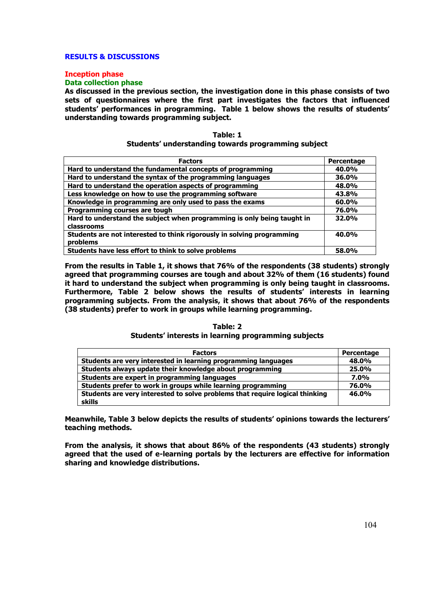# **RESULTS & DISCUSSIONS**

# **Inception phase**

# **Data collection phase**

**As discussed in the previous section, the investigation done in this phase consists of two sets of questionnaires where the first part investigates the factors that influenced students' performances in programming. Table 1 below shows the results of students' understanding towards programming subject.** 

| Table: 1                                            |  |
|-----------------------------------------------------|--|
| Students' understanding towards programming subject |  |

| <b>Factors</b>                                                                        | Percentage |
|---------------------------------------------------------------------------------------|------------|
| Hard to understand the fundamental concepts of programming                            | 40.0%      |
| Hard to understand the syntax of the programming languages                            | 36.0%      |
| Hard to understand the operation aspects of programming                               | 48.0%      |
| Less knowledge on how to use the programming software                                 | 43.8%      |
| Knowledge in programming are only used to pass the exams                              | $60.0\%$   |
| Programming courses are tough                                                         | 76.0%      |
| Hard to understand the subject when programming is only being taught in<br>classrooms | 32.0%      |
| Students are not interested to think rigorously in solving programming<br>problems    | 40.0%      |
| Students have less effort to think to solve problems                                  | 58.0%      |

**From the results in Table 1, it shows that 76% of the respondents (38 students) strongly agreed that programming courses are tough and about 32% of them (16 students) found it hard to understand the subject when programming is only being taught in classrooms. Furthermore, Table 2 below shows the results of students' interests in learning programming subjects. From the analysis, it shows that about 76% of the respondents (38 students) prefer to work in groups while learning programming.** 

## **Table: 2 Students' interests in learning programming subjects**

| <b>Factors</b>                                                               | Percentage |
|------------------------------------------------------------------------------|------------|
| Students are very interested in learning programming languages               | 48.0%      |
| Students always update their knowledge about programming                     | 25.0%      |
| Students are expert in programming languages                                 | 7.0%       |
| Students prefer to work in groups while learning programming                 | 76.0%      |
| Students are very interested to solve problems that require logical thinking | 46.0%      |
| skills                                                                       |            |

**Meanwhile, Table 3 below depicts the results of students' opinions towards the lecturers' teaching methods.** 

**From the analysis, it shows that about 86% of the respondents (43 students) strongly agreed that the used of e-learning portals by the lecturers are effective for information sharing and knowledge distributions.**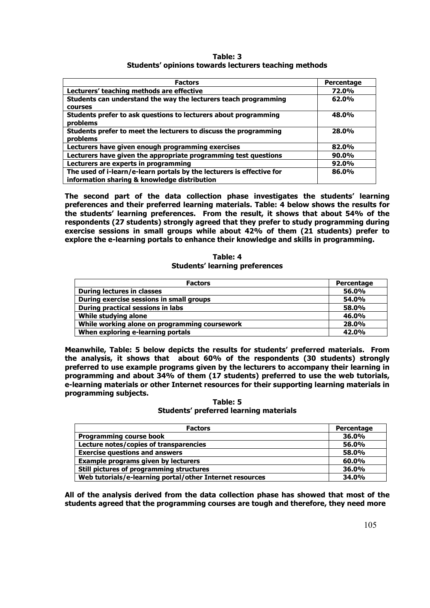**Table: 3 Students' opinions towards lecturers teaching methods**

| <b>Factors</b>                                                                    | Percentage |
|-----------------------------------------------------------------------------------|------------|
| Lecturers' teaching methods are effective                                         | 72.0%      |
| Students can understand the way the lecturers teach programming<br><b>COULSES</b> | 62.0%      |
| Students prefer to ask questions to lecturers about programming<br>problems       | 48.0%      |
| Students prefer to meet the lecturers to discuss the programming<br>problems      | 28.0%      |
| Lecturers have given enough programming exercises                                 | 82.0%      |
| Lecturers have given the appropriate programming test questions                   | 90.0%      |
| Lecturers are experts in programming                                              | 92.0%      |
| The used of i-learn/e-learn portals by the lecturers is effective for             | 86.0%      |
| information sharing & knowledge distribution                                      |            |

**The second part of the data collection phase investigates the students' learning preferences and their preferred learning materials. Table: 4 below shows the results for the students' learning preferences. From the result, it shows that about 54% of the respondents (27 students) strongly agreed that they prefer to study programming during exercise sessions in small groups while about 42% of them (21 students) prefer to explore the e-learning portals to enhance their knowledge and skills in programming.** 

### **Table: 4 Students' learning preferences**

| <b>Factors</b>                                | Percentage |
|-----------------------------------------------|------------|
| During lectures in classes                    | 56.0%      |
| During exercise sessions in small groups      | 54.0%      |
| During practical sessions in labs             | 58.0%      |
| While studying alone                          | 46.0%      |
| While working alone on programming coursework | 28.0%      |
| When exploring e-learning portals             | 42.0%      |

**Meanwhile, Table: 5 below depicts the results for students' preferred materials. From the analysis, it shows that about 60% of the respondents (30 students) strongly preferred to use example programs given by the lecturers to accompany their learning in programming and about 34% of them (17 students) preferred to use the web tutorials, e-learning materials or other Internet resources for their supporting learning materials in programming subjects.** 

**Table: 5 Students' preferred learning materials**

| <b>Factors</b>                                           | Percentage |
|----------------------------------------------------------|------------|
| <b>Programming course book</b>                           | 36.0%      |
| Lecture notes/copies of transparencies                   | 56.0%      |
| <b>Exercise questions and answers</b>                    | 58.0%      |
| <b>Example programs given by lecturers</b>               | 60.0%      |
| Still pictures of programming structures                 | 36.0%      |
| Web tutorials/e-learning portal/other Internet resources | 34.0%      |

**All of the analysis derived from the data collection phase has showed that most of the students agreed that the programming courses are tough and therefore, they need more**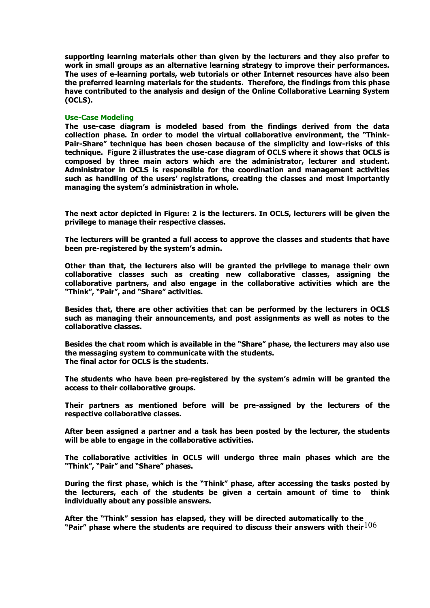**supporting learning materials other than given by the lecturers and they also prefer to work in small groups as an alternative learning strategy to improve their performances. The uses of e-learning portals, web tutorials or other Internet resources have also been the preferred learning materials for the students. Therefore, the findings from this phase have contributed to the analysis and design of the Online Collaborative Learning System (OCLS).** 

### **Use-Case Modeling**

**The use-case diagram is modeled based from the findings derived from the data collection phase. In order to model the virtual collaborative environment, the "Think-Pair-Share" technique has been chosen because of the simplicity and low-risks of this technique. Figure 2 illustrates the use-case diagram of OCLS where it shows that OCLS is composed by three main actors which are the administrator, lecturer and student. Administrator in OCLS is responsible for the coordination and management activities such as handling of the users' registrations, creating the classes and most importantly managing the system's administration in whole.**

**The next actor depicted in Figure: 2 is the lecturers. In OCLS, lecturers will be given the privilege to manage their respective classes.** 

**The lecturers will be granted a full access to approve the classes and students that have been pre-registered by the system's admin.** 

**Other than that, the lecturers also will be granted the privilege to manage their own collaborative classes such as creating new collaborative classes, assigning the collaborative partners, and also engage in the collaborative activities which are the "Think", "Pair", and "Share" activities.** 

**Besides that, there are other activities that can be performed by the lecturers in OCLS such as managing their announcements, and post assignments as well as notes to the collaborative classes.** 

**Besides the chat room which is available in the "Share" phase, the lecturers may also use the messaging system to communicate with the students. The final actor for OCLS is the students.** 

**The students who have been pre-registered by the system's admin will be granted the access to their collaborative groups.** 

**Their partners as mentioned before will be pre-assigned by the lecturers of the respective collaborative classes.** 

**After been assigned a partner and a task has been posted by the lecturer, the students will be able to engage in the collaborative activities.** 

**The collaborative activities in OCLS will undergo three main phases which are the "Think", "Pair" and "Share" phases.** 

**During the first phase, which is the "Think" phase, after accessing the tasks posted by the lecturers, each of the students be given a certain amount of time to think individually about any possible answers.** 

106 **"Pair" phase where the students are required to discuss their answers with their After the "Think" session has elapsed, they will be directed automatically to the**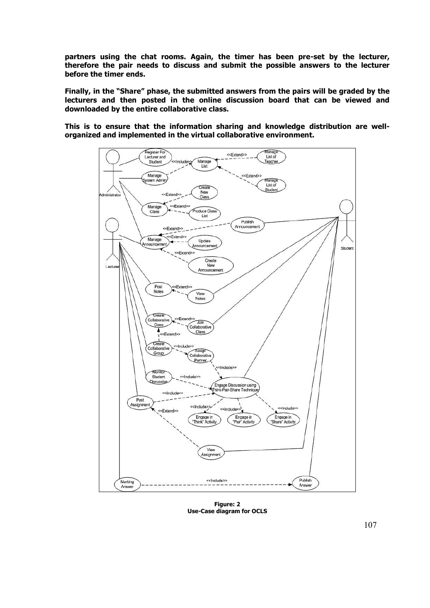**partners using the chat rooms. Again, the timer has been pre-set by the lecturer, therefore the pair needs to discuss and submit the possible answers to the lecturer before the timer ends.** 

**Finally, in the "Share" phase, the submitted answers from the pairs will be graded by the lecturers and then posted in the online discussion board that can be viewed and downloaded by the entire collaborative class.** 

**This is to ensure that the information sharing and knowledge distribution are wellorganized and implemented in the virtual collaborative environment.** 



**Figure: 2 Use-Case diagram for OCLS**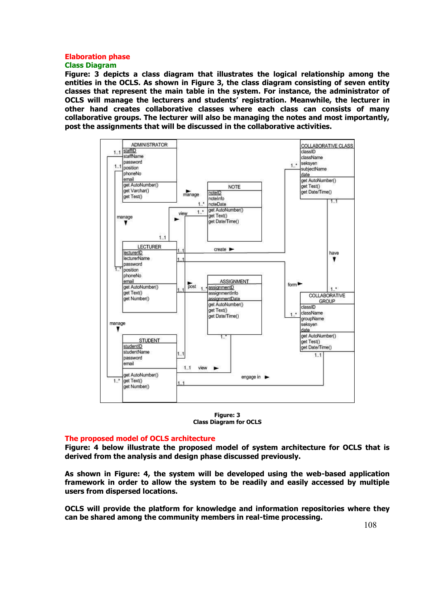### **Elaboration phase Class Diagram**

**Figure: 3 depicts a class diagram that illustrates the logical relationship among the entities in the OCLS. As shown in Figure 3, the class diagram consisting of seven entity classes that represent the main table in the system. For instance, the administrator of OCLS will manage the lecturers and students' registration. Meanwhile, the lecturer in other hand creates collaborative classes where each class can consists of many collaborative groups. The lecturer will also be managing the notes and most importantly, post the assignments that will be discussed in the collaborative activities.** 



**Figure: 3 Class Diagram for OCLS** 

### **The proposed model of OCLS architecture**

**Figure: 4 below illustrate the proposed model of system architecture for OCLS that is derived from the analysis and design phase discussed previously.** 

**As shown in Figure: 4, the system will be developed using the web-based application framework in order to allow the system to be readily and easily accessed by multiple users from dispersed locations.** 

**OCLS will provide the platform for knowledge and information repositories where they can be shared among the community members in real-time processing.**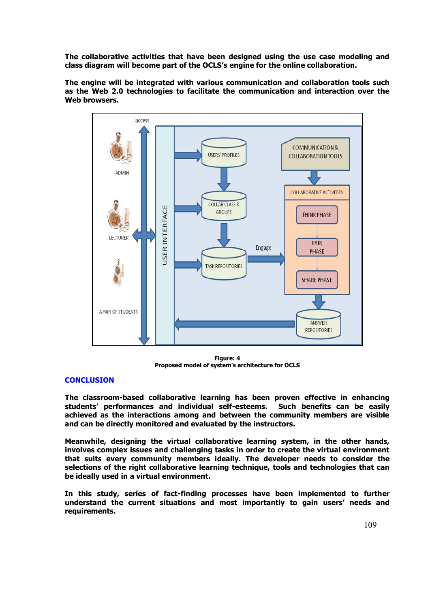**The collaborative activities that have been designed using the use case modeling and class diagram will become part of the OCLS's engine for the online collaboration.** 

**The engine will be integrated with various communication and collaboration tools such as the Web 2.0 technologies to facilitate the communication and interaction over the Web browsers.** 



**Figure: 4 Proposed model of system's architecture for OCLS**

## **CONCLUSION**

**The classroom-based collaborative learning has been proven effective in enhancing students' performances and individual self-esteems. Such benefits can be easily achieved as the interactions among and between the community members are visible and can be directly monitored and evaluated by the instructors.** 

**Meanwhile, designing the virtual collaborative learning system, in the other hands, involves complex issues and challenging tasks in order to create the virtual environment that suits every community members ideally. The developer needs to consider the selections of the right collaborative learning technique, tools and technologies that can be ideally used in a virtual environment.** 

**In this study, series of fact-finding processes have been implemented to further understand the current situations and most importantly to gain users' needs and requirements.**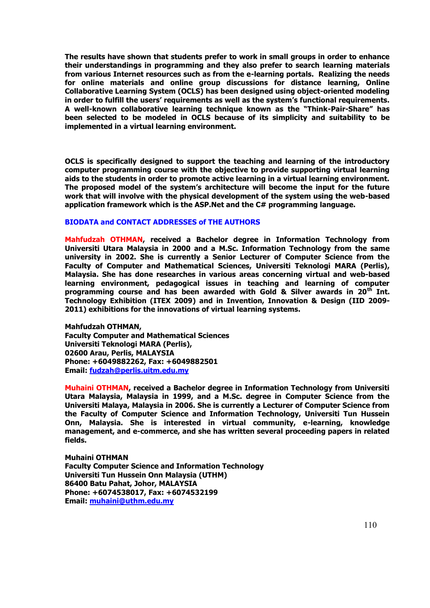**The results have shown that students prefer to work in small groups in order to enhance their understandings in programming and they also prefer to search learning materials from various Internet resources such as from the e-learning portals. Realizing the needs for online materials and online group discussions for distance learning, Online Collaborative Learning System (OCLS) has been designed using object-oriented modeling in order to fulfill the users' requirements as well as the system's functional requirements. A well-known collaborative learning technique known as the "Think-Pair-Share" has been selected to be modeled in OCLS because of its simplicity and suitability to be implemented in a virtual learning environment.** 

**OCLS is specifically designed to support the teaching and learning of the introductory computer programming course with the objective to provide supporting virtual learning aids to the students in order to promote active learning in a virtual learning environment. The proposed model of the system's architecture will become the input for the future work that will involve with the physical development of the system using the web-based application framework which is the ASP.Net and the C# programming language.** 

### **BIODATA and CONTACT ADDRESSES of THE AUTHORS**

**Mahfudzah OTHMAN, received a Bachelor degree in Information Technology from Universiti Utara Malaysia in 2000 and a M.Sc. Information Technology from the same university in 2002. She is currently a Senior Lecturer of Computer Science from the Faculty of Computer and Mathematical Sciences, Universiti Teknologi MARA (Perlis), Malaysia. She has done researches in various areas concerning virtual and web-based learning environment, pedagogical issues in teaching and learning of computer programming course and has been awarded with Gold & Silver awards in 20th Int. Technology Exhibition (ITEX 2009) and in Invention, Innovation & Design (IID 2009- 2011) exhibitions for the innovations of virtual learning systems.** 

**Mahfudzah OTHMAN, Faculty Computer and Mathematical Sciences Universiti Teknologi MARA (Perlis), 02600 Arau, Perlis, MALAYSIA Phone: +6049882262, Fax: +6049882501 Email: [fudzah@perlis.uitm.edu.my](mailto:fudzah@perlis.uitm.edu.my)**

**Muhaini OTHMAN, received a Bachelor degree in Information Technology from Universiti Utara Malaysia, Malaysia in 1999, and a M.Sc. degree in Computer Science from the Universiti Malaya, Malaysia in 2006. She is currently a Lecturer of Computer Science from the Faculty of Computer Science and Information Technology, Universiti Tun Hussein Onn, Malaysia. She is interested in virtual community, e-learning, knowledge management, and e-commerce, and she has written several proceeding papers in related fields.** 

**Muhaini OTHMAN Faculty Computer Science and Information Technology Universiti Tun Hussein Onn Malaysia (UTHM) 86400 Batu Pahat, Johor, MALAYSIA Phone: +6074538017, Fax: +6074532199 Email: [muhaini@uthm.edu.my](mailto:muhaini@uthm.edu.my)**